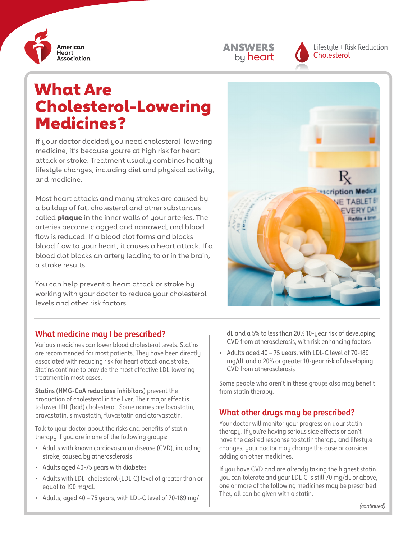





Lifestyle + Risk Reduction **Cholesterol** 

# What Are Cholesterol-Lowering Medicines?

If your doctor decided you need cholesterol-lowering medicine, it's because you're at high risk for heart attack or stroke. Treatment usually combines healthy lifestyle changes, including diet and physical activity, and medicine.

Most heart attacks and many strokes are caused by a buildup of fat, cholesterol and other substances called **plaque** in the inner walls of your arteries. The arteries become clogged and narrowed, and blood flow is reduced. If a blood clot forms and blocks blood flow to your heart, it causes a heart attack. If a blood clot blocks an artery leading to or in the brain, a stroke results.

You can help prevent a heart attack or stroke by working with your doctor to reduce your cholesterol levels and other risk factors.



#### **What medicine may I be prescribed?**

Various medicines can lower blood cholesterol levels. Statins are recommended for most patients. They have been directly associated with reducing risk for heart attack and stroke. Statins continue to provide the most effective LDL-lowering treatment in most cases.

**Statins (HMG-CoA reductase inhibitors)** prevent the production of cholesterol in the liver. Their major effect is to lower LDL (bad) cholesterol. Some names are lovastatin, pravastatin, simvastatin, fluvastatin and atorvastatin.

Talk to your doctor about the risks and benefits of statin therapy if you are in one of the following groups:

- Adults with known cardiovascular disease (CVD), including stroke, caused by atherosclerosis
- Adults aged 40-75 years with diabetes
- Adults with LDL- cholesterol (LDL-C) level of greater than or equal to 190 mg/dL
- Adults, aged 40 75 years, with LDL-C level of 70-189 mg/

dL and a 5% to less than 20% 10-year risk of developing CVD from atherosclerosis, with risk enhancing factors

• Adults aged 40 – 75 years, with LDL-C level of 70-189 mg/dL and a 20% or greater 10-year risk of developing CVD from atherosclerosis

Some people who aren't in these groups also may benefit from statin therapy.

## **What other drugs may be prescribed?**

Your doctor will monitor your progress on your statin therapy. If you're having serious side effects or don't have the desired response to statin therapy and lifestyle changes, your doctor may change the dose or consider adding on other medicines.

If you have CVD and are already taking the highest statin you can tolerate and your LDL-C is still 70 mg/dL or above, one or more of the following medicines may be prescribed. They all can be given with a statin.